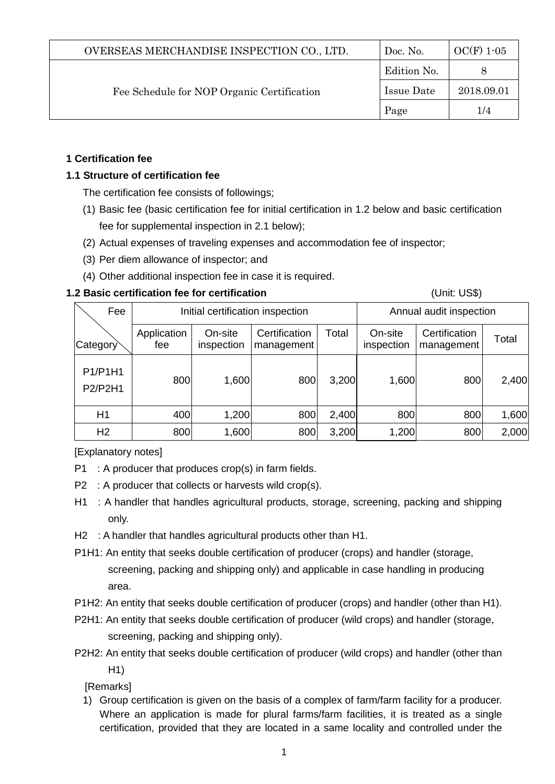| OVERSEAS MERCHANDISE INSPECTION CO., LTD.  | Doc. No.    | $OC(F)$ 1-05 |
|--------------------------------------------|-------------|--------------|
| Fee Schedule for NOP Organic Certification | Edition No. |              |
|                                            | Issue Date  | 2018.09.01   |
|                                            | Page        | 1/4          |

# **1 Certification fee**

# **1.1 Structure of certification fee**

The certification fee consists of followings;

- (1) Basic fee (basic certification fee for initial certification in 1.2 below and basic certification fee for supplemental inspection in 2.1 below);
- (2) Actual expenses of traveling expenses and accommodation fee of inspector;
- (3) Per diem allowance of inspector; and
- (4) Other additional inspection fee in case it is required.

## **1.2 Basic certification fee for certification** (Unit: US\$)

| Fee                       | Initial certification inspection |                       |                             | Annual audit inspection |                       |                             |       |
|---------------------------|----------------------------------|-----------------------|-----------------------------|-------------------------|-----------------------|-----------------------------|-------|
| Category                  | Application<br>fee               | On-site<br>inspection | Certification<br>management | Total                   | On-site<br>inspection | Certification<br>management | Total |
| P1/P1H1<br><b>P2/P2H1</b> | 800                              | 1,600                 | 800                         | 3,200                   | 1,600                 | 800                         | 2,400 |
| H1                        | 400                              | 1,200                 | 800                         | 2,400                   | 800                   | 800                         | 1,600 |
| H <sub>2</sub>            | 800                              | 1,600                 | 800                         | 3,200                   | 1,200                 | 800                         | 2,000 |

[Explanatory notes]

- P1 : A producer that produces crop(s) in farm fields.
- P2 : A producer that collects or harvests wild crop(s).
- H1 : A handler that handles agricultural products, storage, screening, packing and shipping only.
- H2 : A handler that handles agricultural products other than H1.
- P1H1: An entity that seeks double certification of producer (crops) and handler (storage, screening, packing and shipping only) and applicable in case handling in producing area.
- P1H2: An entity that seeks double certification of producer (crops) and handler (other than H1).
- P2H1: An entity that seeks double certification of producer (wild crops) and handler (storage, screening, packing and shipping only).
- P2H2: An entity that seeks double certification of producer (wild crops) and handler (other than H1)

[Remarks]

1) Group certification is given on the basis of a complex of farm/farm facility for a producer. Where an application is made for plural farms/farm facilities, it is treated as a single certification, provided that they are located in a same locality and controlled under the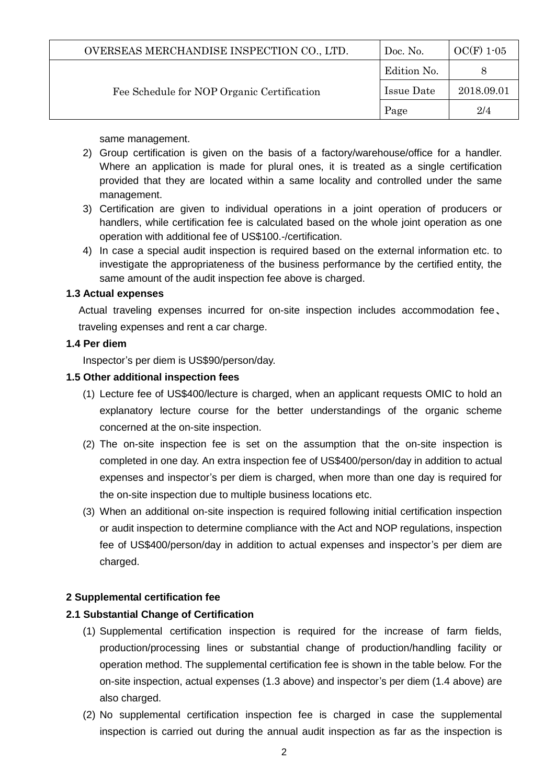| OVERSEAS MERCHANDISE INSPECTION CO., LTD.  | Doc. No.    | $OC(F)$ 1-05 |
|--------------------------------------------|-------------|--------------|
| Fee Schedule for NOP Organic Certification | Edition No. |              |
|                                            | Issue Date  | 2018.09.01   |
|                                            | Page        | 2/4          |

same management.

- 2) Group certification is given on the basis of a factory/warehouse/office for a handler. Where an application is made for plural ones, it is treated as a single certification provided that they are located within a same locality and controlled under the same management.
- 3) Certification are given to individual operations in a joint operation of producers or handlers, while certification fee is calculated based on the whole joint operation as one operation with additional fee of US\$100.-/certification.
- 4) In case a special audit inspection is required based on the external information etc. to investigate the appropriateness of the business performance by the certified entity, the same amount of the audit inspection fee above is charged.

#### **1.3 Actual expenses**

Actual traveling expenses incurred for on-site inspection includes accommodation fee、 traveling expenses and rent a car charge.

#### **1.4 Per diem**

Inspector's per diem is US\$90/person/day.

#### **1.5 Other additional inspection fees**

- (1) Lecture fee of US\$400/lecture is charged, when an applicant requests OMIC to hold an explanatory lecture course for the better understandings of the organic scheme concerned at the on-site inspection.
- (2) The on-site inspection fee is set on the assumption that the on-site inspection is completed in one day. An extra inspection fee of US\$400/person/day in addition to actual expenses and inspector's per diem is charged, when more than one day is required for the on-site inspection due to multiple business locations etc.
- (3) When an additional on-site inspection is required following initial certification inspection or audit inspection to determine compliance with the Act and NOP regulations, inspection fee of US\$400/person/day in addition to actual expenses and inspector's per diem are charged.

## **2 Supplemental certification fee**

## **2.1 Substantial Change of Certification**

- (1) Supplemental certification inspection is required for the increase of farm fields, production/processing lines or substantial change of production/handling facility or operation method. The supplemental certification fee is shown in the table below. For the on-site inspection, actual expenses (1.3 above) and inspector's per diem (1.4 above) are also charged.
- (2) No supplemental certification inspection fee is charged in case the supplemental inspection is carried out during the annual audit inspection as far as the inspection is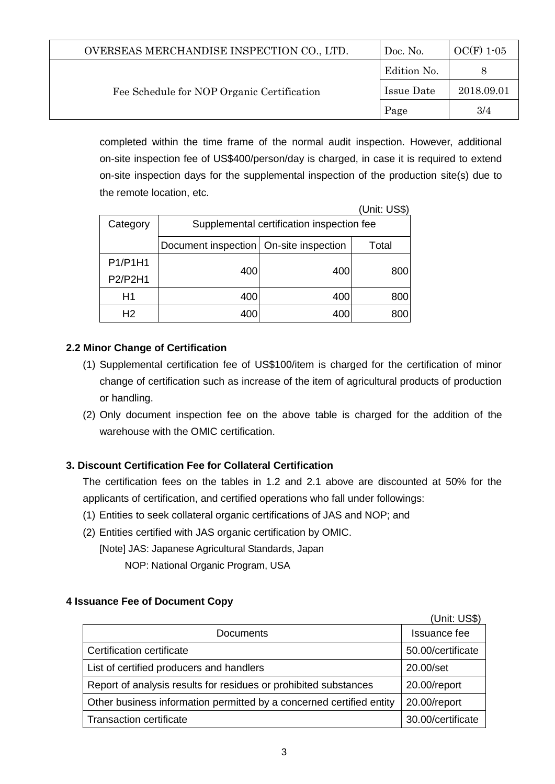| OVERSEAS MERCHANDISE INSPECTION CO., LTD.  | Doc. No.    | $OC(F)$ 1-05 |
|--------------------------------------------|-------------|--------------|
|                                            | Edition No. |              |
| Fee Schedule for NOP Organic Certification | Issue Date  | 2018.09.01   |
|                                            | Page        | 3/4          |

completed within the time frame of the normal audit inspection. However, additional on-site inspection fee of US\$400/person/day is charged, in case it is required to extend on-site inspection days for the supplemental inspection of the production site(s) due to the remote location, etc.

|                |                                           |     | (Unit: US\$) |  |
|----------------|-------------------------------------------|-----|--------------|--|
| Category       | Supplemental certification inspection fee |     |              |  |
|                | Document inspection   On-site inspection  |     | Total        |  |
| P1/P1H1        |                                           |     |              |  |
| P2/P2H1        | 400                                       | 400 | 800          |  |
| H1             | 400                                       | 400 | 800          |  |
| H <sub>2</sub> | 400                                       | 400 | 800          |  |

## **2.2 Minor Change of Certification**

- (1) Supplemental certification fee of US\$100/item is charged for the certification of minor change of certification such as increase of the item of agricultural products of production or handling.
- (2) Only document inspection fee on the above table is charged for the addition of the warehouse with the OMIC certification.

# **3. Discount Certification Fee for Collateral Certification**

The certification fees on the tables in 1.2 and 2.1 above are discounted at 50% for the applicants of certification, and certified operations who fall under followings:

- (1) Entities to seek collateral organic certifications of JAS and NOP; and
- (2) Entities certified with JAS organic certification by OMIC.

[Note] JAS: Japanese Agricultural Standards, Japan

NOP: National Organic Program, USA

## **4 Issuance Fee of Document Copy**

|                                                                      | (Unit: US\$)      |
|----------------------------------------------------------------------|-------------------|
| <b>Documents</b>                                                     | Issuance fee      |
| Certification certificate                                            | 50.00/certificate |
| List of certified producers and handlers                             | 20.00/set         |
| Report of analysis results for residues or prohibited substances     | 20.00/report      |
| Other business information permitted by a concerned certified entity | 20.00/report      |
| <b>Transaction certificate</b>                                       | 30.00/certificate |